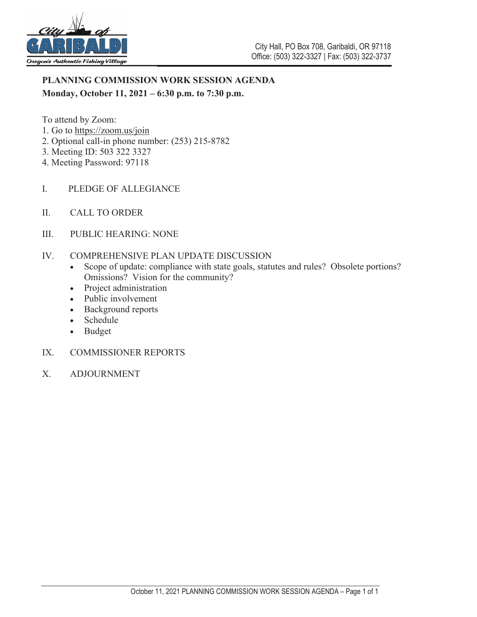

# **PLANNING COMMISSION WORK SESSION AGENDA Monday, October 11, 2021 – 6:30 p.m. to 7:30 p.m.**

To attend by Zoom:

- 1. Go to https://zoom.us/join
- 2. Optional call-in phone number: (253) 215-8782
- 3. Meeting ID: 503 322 3327
- 4. Meeting Password: 97118
- I. PLEDGE OF ALLEGIANCE
- II. CALL TO ORDER
- III. PUBLIC HEARING: NONE
- IV. COMPREHENSIVE PLAN UPDATE DISCUSSION
	- Scope of update: compliance with state goals, statutes and rules? Obsolete portions? Omissions? Vision for the community?
	- Project administration
	- Public involvement
	- Background reports
	- Schedule
	- $\bullet$  Budget
- IX. COMMISSIONER REPORTS
- X. ADJOURNMENT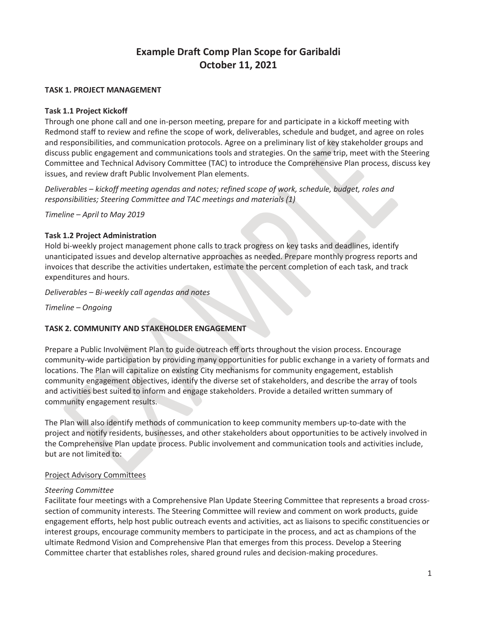# **Example Draft Comp Plan Scope for Garibaldi October 11, 2021**

## **TASK 1. PROJECT MANAGEMENT**

## **Task 1.1 Project Kickoff**

Through one phone call and one in-person meeting, prepare for and participate in a kickoff meeting with Redmond staff to review and refine the scope of work, deliverables, schedule and budget, and agree on roles and responsibilities, and communication protocols. Agree on a preliminary list of key stakeholder groups and discuss public engagement and communications tools and strategies. On the same trip, meet with the Steering Committee and Technical Advisory Committee (TAC) to introduce the Comprehensive Plan process, discuss key issues, and review draft Public Involvement Plan elements.

*Deliverables – kickoff meeting agendas and notes; refined scope of work, schedule, budget, roles and responsibilities; Steering Committee and TAC meetings and materials (1)*

*Timeline – April to May 2019*

# **Task 1.2 Project Administration**

Hold bi-weekly project management phone calls to track progress on key tasks and deadlines, identify unanticipated issues and develop alternative approaches as needed. Prepare monthly progress reports and invoices that describe the activities undertaken, estimate the percent completion of each task, and track expenditures and hours.

*Deliverables – Bi-weekly call agendas and notes*

*Timeline – Ongoing*

# **TASK 2. COMMUNITY AND STAKEHOLDER ENGAGEMENT**

Prepare a Public Involvement Plan to guide outreach eff orts throughout the vision process. Encourage community-wide participation by providing many opportunities for public exchange in a variety of formats and locations. The Plan will capitalize on existing City mechanisms for community engagement, establish community engagement objectives, identify the diverse set of stakeholders, and describe the array of tools and activities best suited to inform and engage stakeholders. Provide a detailed written summary of community engagement results.

The Plan will also identify methods of communication to keep community members up-to-date with the project and notify residents, businesses, and other stakeholders about opportunities to be actively involved in the Comprehensive Plan update process. Public involvement and communication tools and activities include, but are not limited to:

# Project Advisory Committees

#### *Steering Committee*

Facilitate four meetings with a Comprehensive Plan Update Steering Committee that represents a broad crosssection of community interests. The Steering Committee will review and comment on work products, guide engagement efforts, help host public outreach events and activities, act as liaisons to specific constituencies or interest groups, encourage community members to participate in the process, and act as champions of the ultimate Redmond Vision and Comprehensive Plan that emerges from this process. Develop a Steering Committee charter that establishes roles, shared ground rules and decision-making procedures.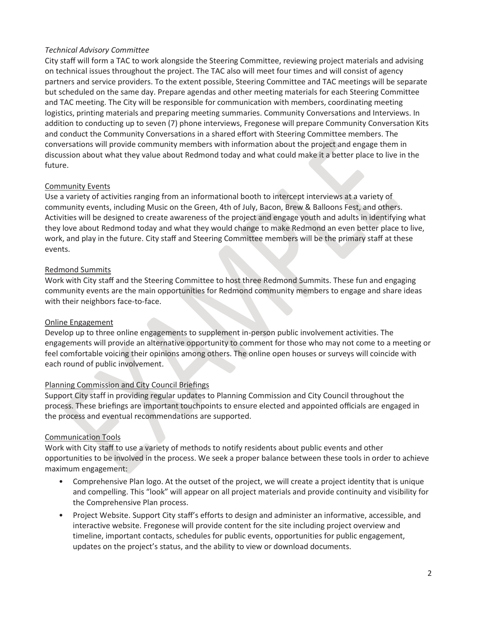# *Technical Advisory Committee*

City staff will form a TAC to work alongside the Steering Committee, reviewing project materials and advising on technical issues throughout the project. The TAC also will meet four times and will consist of agency partners and service providers. To the extent possible, Steering Committee and TAC meetings will be separate but scheduled on the same day. Prepare agendas and other meeting materials for each Steering Committee and TAC meeting. The City will be responsible for communication with members, coordinating meeting logistics, printing materials and preparing meeting summaries. Community Conversations and Interviews. In addition to conducting up to seven (7) phone interviews, Fregonese will prepare Community Conversation Kits and conduct the Community Conversations in a shared effort with Steering Committee members. The conversations will provide community members with information about the project and engage them in discussion about what they value about Redmond today and what could make it a better place to live in the future.

### Community Events

Use a variety of activities ranging from an informational booth to intercept interviews at a variety of community events, including Music on the Green, 4th of July, Bacon, Brew & Balloons Fest, and others. Activities will be designed to create awareness of the project and engage youth and adults in identifying what they love about Redmond today and what they would change to make Redmond an even better place to live, work, and play in the future. City staff and Steering Committee members will be the primary staff at these events.

### Redmond Summits

Work with City staff and the Steering Committee to host three Redmond Summits. These fun and engaging community events are the main opportunities for Redmond community members to engage and share ideas with their neighbors face-to-face.

# Online Engagement

Develop up to three online engagements to supplement in-person public involvement activities. The engagements will provide an alternative opportunity to comment for those who may not come to a meeting or feel comfortable voicing their opinions among others. The online open houses or surveys will coincide with each round of public involvement.

# Planning Commission and City Council Briefings

Support City staff in providing regular updates to Planning Commission and City Council throughout the process. These briefings are important touchpoints to ensure elected and appointed officials are engaged in the process and eventual recommendations are supported.

# Communication Tools

Work with City staff to use a variety of methods to notify residents about public events and other opportunities to be involved in the process. We seek a proper balance between these tools in order to achieve maximum engagement:

- Comprehensive Plan logo. At the outset of the project, we will create a project identity that is unique and compelling. This "look" will appear on all project materials and provide continuity and visibility for the Comprehensive Plan process.
- Project Website. Support City staff's efforts to design and administer an informative, accessible, and interactive website. Fregonese will provide content for the site including project overview and timeline, important contacts, schedules for public events, opportunities for public engagement, updates on the project's status, and the ability to view or download documents.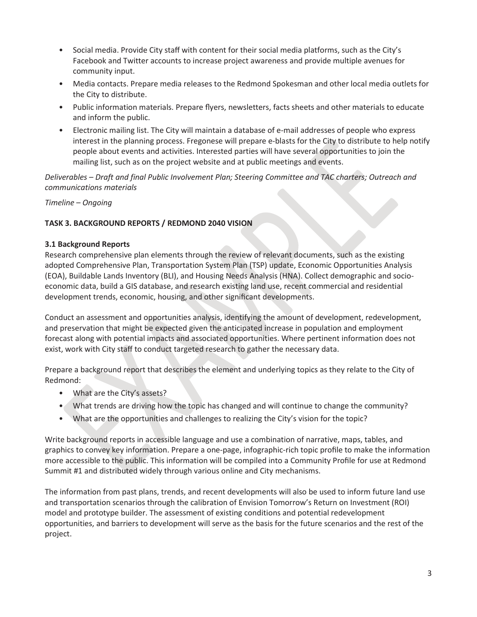- Social media. Provide City staff with content for their social media platforms, such as the City's Facebook and Twitter accounts to increase project awareness and provide multiple avenues for community input.
- Media contacts. Prepare media releases to the Redmond Spokesman and other local media outlets for the City to distribute.
- Public information materials. Prepare flyers, newsletters, facts sheets and other materials to educate and inform the public.
- Electronic mailing list. The City will maintain a database of e-mail addresses of people who express interest in the planning process. Fregonese will prepare e-blasts for the City to distribute to help notify people about events and activities. Interested parties will have several opportunities to join the mailing list, such as on the project website and at public meetings and events.

*Deliverables – Draft and final Public Involvement Plan; Steering Committee and TAC charters; Outreach and communications materials*

*Timeline – Ongoing*

# **TASK 3. BACKGROUND REPORTS / REDMOND 2040 VISION**

### **3.1 Background Reports**

Research comprehensive plan elements through the review of relevant documents, such as the existing adopted Comprehensive Plan, Transportation System Plan (TSP) update, Economic Opportunities Analysis (EOA), Buildable Lands Inventory (BLI), and Housing Needs Analysis (HNA). Collect demographic and socioeconomic data, build a GIS database, and research existing land use, recent commercial and residential development trends, economic, housing, and other significant developments.

Conduct an assessment and opportunities analysis, identifying the amount of development, redevelopment, and preservation that might be expected given the anticipated increase in population and employment forecast along with potential impacts and associated opportunities. Where pertinent information does not exist, work with City staff to conduct targeted research to gather the necessary data.

Prepare a background report that describes the element and underlying topics as they relate to the City of Redmond:

- What are the City's assets?
- What trends are driving how the topic has changed and will continue to change the community?
- What are the opportunities and challenges to realizing the City's vision for the topic?

Write background reports in accessible language and use a combination of narrative, maps, tables, and graphics to convey key information. Prepare a one-page, infographic-rich topic profile to make the information more accessible to the public. This information will be compiled into a Community Profile for use at Redmond Summit #1 and distributed widely through various online and City mechanisms.

The information from past plans, trends, and recent developments will also be used to inform future land use and transportation scenarios through the calibration of Envision Tomorrow's Return on Investment (ROI) model and prototype builder. The assessment of existing conditions and potential redevelopment opportunities, and barriers to development will serve as the basis for the future scenarios and the rest of the project.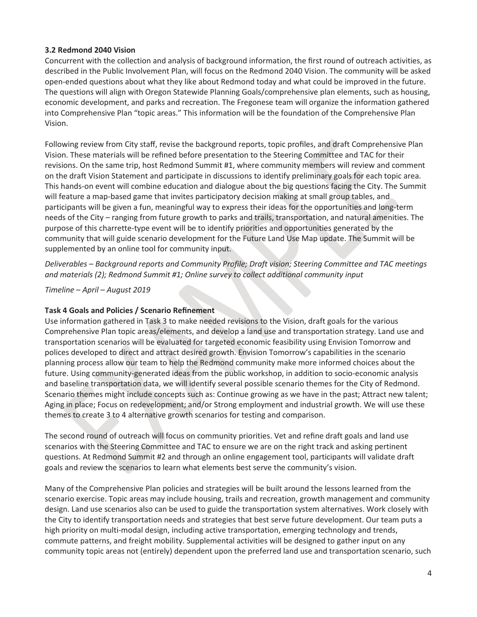## **3.2 Redmond 2040 Vision**

Concurrent with the collection and analysis of background information, the first round of outreach activities, as described in the Public Involvement Plan, will focus on the Redmond 2040 Vision. The community will be asked open-ended questions about what they like about Redmond today and what could be improved in the future. The questions will align with Oregon Statewide Planning Goals/comprehensive plan elements, such as housing, economic development, and parks and recreation. The Fregonese team will organize the information gathered into Comprehensive Plan "topic areas." This information will be the foundation of the Comprehensive Plan Vision.

Following review from City staff, revise the background reports, topic profiles, and draft Comprehensive Plan Vision. These materials will be refined before presentation to the Steering Committee and TAC for their revisions. On the same trip, host Redmond Summit #1, where community members will review and comment on the draft Vision Statement and participate in discussions to identify preliminary goals for each topic area. This hands-on event will combine education and dialogue about the big questions facing the City. The Summit will feature a map-based game that invites participatory decision making at small group tables, and participants will be given a fun, meaningful way to express their ideas for the opportunities and long-term needs of the City – ranging from future growth to parks and trails, transportation, and natural amenities. The purpose of this charrette-type event will be to identify priorities and opportunities generated by the community that will guide scenario development for the Future Land Use Map update. The Summit will be supplemented by an online tool for community input.

*Deliverables – Background reports and Community Profile; Draft vision; Steering Committee and TAC meetings and materials (2); Redmond Summit #1; Online survey to collect additional community input*

*Timeline – April – August 2019*

#### **Task 4 Goals and Policies / Scenario Refinement**

Use information gathered in Task 3 to make needed revisions to the Vision, draft goals for the various Comprehensive Plan topic areas/elements, and develop a land use and transportation strategy. Land use and transportation scenarios will be evaluated for targeted economic feasibility using Envision Tomorrow and polices developed to direct and attract desired growth. Envision Tomorrow's capabilities in the scenario planning process allow our team to help the Redmond community make more informed choices about the future. Using community-generated ideas from the public workshop, in addition to socio-economic analysis and baseline transportation data, we will identify several possible scenario themes for the City of Redmond. Scenario themes might include concepts such as: Continue growing as we have in the past; Attract new talent; Aging in place; Focus on redevelopment; and/or Strong employment and industrial growth. We will use these themes to create 3 to 4 alternative growth scenarios for testing and comparison.

The second round of outreach will focus on community priorities. Vet and refine draft goals and land use scenarios with the Steering Committee and TAC to ensure we are on the right track and asking pertinent questions. At Redmond Summit #2 and through an online engagement tool, participants will validate draft goals and review the scenarios to learn what elements best serve the community's vision.

Many of the Comprehensive Plan policies and strategies will be built around the lessons learned from the scenario exercise. Topic areas may include housing, trails and recreation, growth management and community design. Land use scenarios also can be used to guide the transportation system alternatives. Work closely with the City to identify transportation needs and strategies that best serve future development. Our team puts a high priority on multi-modal design, including active transportation, emerging technology and trends, commute patterns, and freight mobility. Supplemental activities will be designed to gather input on any community topic areas not (entirely) dependent upon the preferred land use and transportation scenario, such